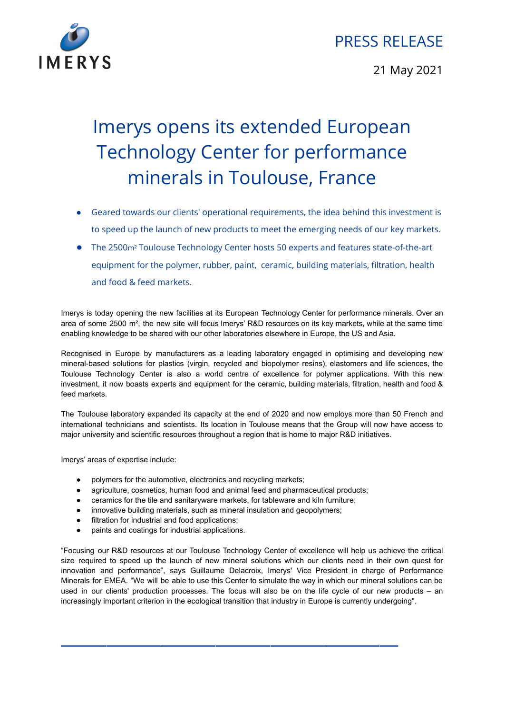

## PRESS RELEASE

21 May 2021

## Imerys opens its extended European Technology Center for performance minerals in Toulouse, France

- Geared towards our clients' operational requirements, the idea behind this investment is to speed up the launch of new products to meet the emerging needs of our key markets.
- The 2500m² Toulouse Technology Center hosts 50 experts and features state-of-the-art equipment for the polymer, rubber, paint, ceramic, building materials, filtration, health and food & feed markets.

Imerys is today opening the new facilities at its European Technology Center for performance minerals. Over an area of some 2500 m², the new site will focus Imerys' R&D resources on its key markets, while at the same time enabling knowledge to be shared with our other laboratories elsewhere in Europe, the US and Asia.

Recognised in Europe by manufacturers as a leading laboratory engaged in optimising and developing new mineral-based solutions for plastics (virgin, recycled and biopolymer resins), elastomers and life sciences, the Toulouse Technology Center is also a world centre of excellence for polymer applications. With this new investment, it now boasts experts and equipment for the ceramic, building materials, filtration, health and food & feed markets.

The Toulouse laboratory expanded its capacity at the end of 2020 and now employs more than 50 French and international technicians and scientists. Its location in Toulouse means that the Group will now have access to major university and scientific resources throughout a region that is home to major R&D initiatives.

Imerys' areas of expertise include:

- polymers for the automotive, electronics and recycling markets;
- agriculture, cosmetics, human food and animal feed and pharmaceutical products;
- ceramics for the tile and sanitaryware markets, for tableware and kiln furniture;
- innovative building materials, such as mineral insulation and geopolymers;
- filtration for industrial and food applications;
- paints and coatings for industrial applications.

"Focusing our R&D resources at our Toulouse Technology Center of excellence will help us achieve the critical size required to speed up the launch of new mineral solutions which our clients need in their own quest for innovation and performance", says Guillaume Delacroix, Imerys' Vice President in charge of Performance Minerals for EMEA. "We will be able to use this Center to simulate the way in which our mineral solutions can be used in our clients' production processes. The focus will also be on the life cycle of our new products – an increasingly important criterion in the ecological transition that industry in Europe is currently undergoing".

 $\overline{\phantom{a}}$  , where  $\overline{\phantom{a}}$  , where  $\overline{\phantom{a}}$  , where  $\overline{\phantom{a}}$  , where  $\overline{\phantom{a}}$  , where  $\overline{\phantom{a}}$